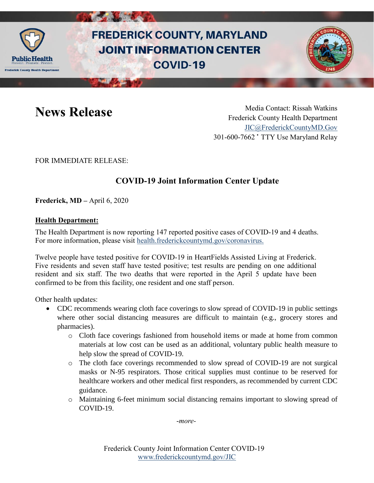

# **FREDERICK COUNTY, MARYLAND JOINT INFORMATION CENTER COVID-19**



News Release Media Contact: Rissah Watkins Frederick County Health Department [JIC@FrederickCountyMD.Gov](mailto:JIC@FrederickCountyMD.Gov) 301-600-7662 • TTY Use Maryland Relay

FOR IMMEDIATE RELEASE:

## **COVID-19 Joint Information Center Update**

**Frederick, MD –** April 6, 2020

### **Health Department:**

The Health Department is now reporting 147 reported positive cases of COVID-19 and 4 deaths. For more information, please visit [health.frederickcountymd.gov/coronavirus.](https://health.frederickcountymd.gov/614/Novel-Coronavirus-COVID-19)

Twelve people have tested positive for COVID-19 in HeartFields Assisted Living at Frederick. Five residents and seven staff have tested positive; test results are pending on one additional resident and six staff. The two deaths that were reported in the April 5 update have been confirmed to be from this facility, one resident and one staff person.

Other health updates:

- CDC recommends wearing cloth face coverings to slow spread of COVID-19 in public settings where other social distancing measures are difficult to maintain (e.g., grocery stores and pharmacies).
	- o Cloth face coverings fashioned from household items or made at home from common materials at low cost can be used as an additional, voluntary public health measure to help slow the spread of COVID-19.
	- o The cloth face coverings recommended to slow spread of COVID-19 are not surgical masks or N-95 respirators. Those critical supplies must continue to be reserved for healthcare workers and other medical first responders, as recommended by current CDC guidance.
	- o Maintaining 6-feet minimum social distancing remains important to slowing spread of COVID-19.

-*more-*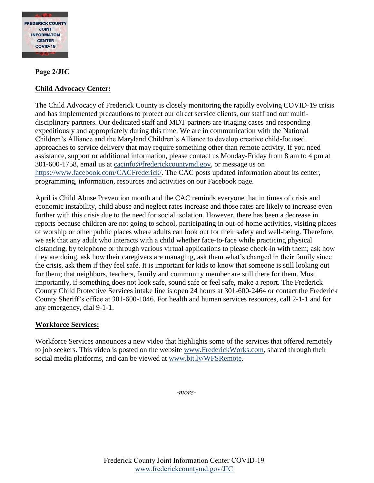

### **Page 2/JIC**

### **Child Advocacy Center:**

The Child Advocacy of Frederick County is closely monitoring the rapidly evolving COVID-19 crisis and has implemented precautions to protect our direct service clients, our staff and our multidisciplinary partners. Our dedicated staff and MDT partners are triaging cases and responding expeditiously and appropriately during this time. We are in communication with the National Children's Alliance and the Maryland Children's Alliance to develop creative child-focused approaches to service delivery that may require something other than remote activity. If you need assistance, support or additional information, please contact us Monday-Friday from 8 am to 4 pm at 301-600-1758, email us at [cacinfo@frederickcountymd.gov,](mailto:cacinfo@frederickcountymd.gov) or message us on [https://www.facebook.com/CACFrederick/.](https://www.facebook.com/CACFrederick/) The CAC posts updated information about its center, programming, information, resources and activities on our Facebook page.

April is Child Abuse Prevention month and the CAC reminds everyone that in times of crisis and economic instability, child abuse and neglect rates increase and those rates are likely to increase even further with this crisis due to the need for social isolation. However, there has been a decrease in reports because children are not going to school, participating in out-of-home activities, visiting places of worship or other public places where adults can look out for their safety and well-being. Therefore, we ask that any adult who interacts with a child whether face-to-face while practicing physical distancing, by telephone or through various virtual applications to please check-in with them; ask how they are doing, ask how their caregivers are managing, ask them what's changed in their family since the crisis, ask them if they feel safe. It is important for kids to know that someone is still looking out for them; that neighbors, teachers, family and community member are still there for them. Most importantly, if something does not look safe, sound safe or feel safe, make a report. The Frederick County Child Protective Services intake line is open 24 hours at 301-600-2464 or contact the Frederick County Sheriff's office at 301-600-1046. For health and human services resources, call 2-1-1 and for any emergency, dial 9-1-1.

### **Workforce Services:**

Workforce Services announces a new video that highlights some of the services that offered remotely to job seekers. This video is posted on the website [www.FrederickWorks.com,](http://www.frederickworks.com/) shared through their social media platforms, and can be viewed at [www.bit.ly/WFSRemote.](http://www.bit.ly/WFSRemote)

-*more-*